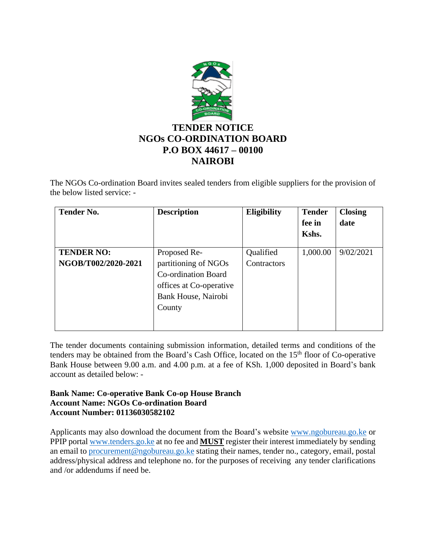

The NGOs Co-ordination Board invites sealed tenders from eligible suppliers for the provision of the below listed service: -

| <b>Tender No.</b>                        | <b>Description</b>                                                                                                             | Eligibility              | <b>Tender</b><br>fee in<br>Kshs. | <b>Closing</b><br>date |
|------------------------------------------|--------------------------------------------------------------------------------------------------------------------------------|--------------------------|----------------------------------|------------------------|
| <b>TENDER NO:</b><br>NGOB/T002/2020-2021 | Proposed Re-<br>partitioning of NGOs<br><b>Co-ordination Board</b><br>offices at Co-operative<br>Bank House, Nairobi<br>County | Qualified<br>Contractors | 1,000.00                         | 9/02/2021              |

The tender documents containing submission information, detailed terms and conditions of the tenders may be obtained from the Board's Cash Office, located on the 15<sup>th</sup> floor of Co-operative Bank House between 9.00 a.m. and 4.00 p.m. at a fee of KSh. 1,000 deposited in Board's bank account as detailed below: -

## **Bank Name: Co-operative Bank Co-op House Branch Account Name: NGOs Co-ordination Board Account Number: 01136030582102**

Applicants may also download the document from the Board's website [www.ngobureau.go.ke](http://www.ngobureau.go.ke/) or PPIP portal [www.tenders.go.ke](http://www.tenders.go.ke/) at no fee and **MUST** register their interest immediately by sending an email to [procurement@ngobureau.go.ke](mailto:procurement@ngobureau.go.ke) stating their names, tender no., category, email, postal address/physical address and telephone no. for the purposes of receiving any tender clarifications and /or addendums if need be.